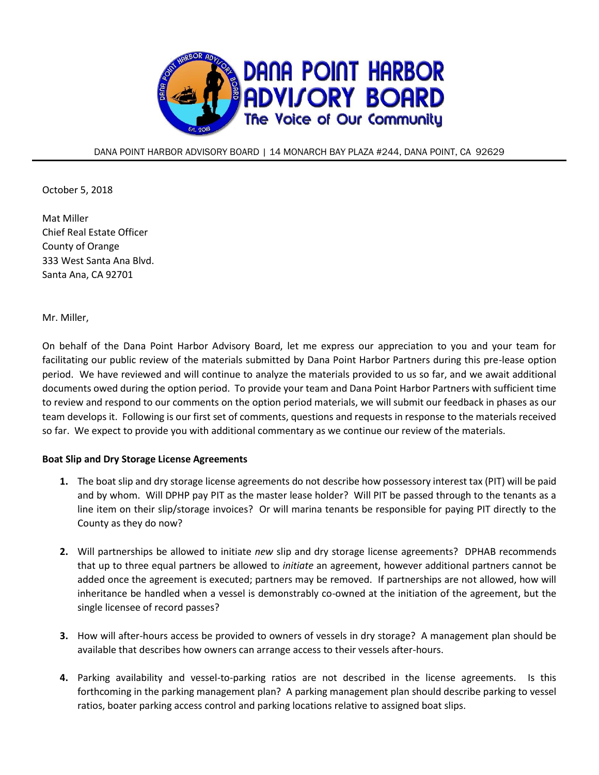

DANA POINT HARBOR ADVISORY BOARD | 14 MONARCH BAY PLAZA #244, DANA POINT, CA 92629

October 5, 2018

Mat Miller Chief Real Estate Officer County of Orange 333 West Santa Ana Blvd. Santa Ana, CA 92701

Mr. Miller,

On behalf of the Dana Point Harbor Advisory Board, let me express our appreciation to you and your team for facilitating our public review of the materials submitted by Dana Point Harbor Partners during this pre-lease option period. We have reviewed and will continue to analyze the materials provided to us so far, and we await additional documents owed during the option period. To provide your team and Dana Point Harbor Partners with sufficient time to review and respond to our comments on the option period materials, we will submit our feedback in phases as our team develops it. Following is our first set of comments, questions and requests in response to the materials received so far. We expect to provide you with additional commentary as we continue our review of the materials.

## **Boat Slip and Dry Storage License Agreements**

- **1.** The boat slip and dry storage license agreements do not describe how possessory interest tax (PIT) will be paid and by whom. Will DPHP pay PIT as the master lease holder? Will PIT be passed through to the tenants as a line item on their slip/storage invoices? Or will marina tenants be responsible for paying PIT directly to the County as they do now?
- **2.** Will partnerships be allowed to initiate *new* slip and dry storage license agreements? DPHAB recommends that up to three equal partners be allowed to *initiate* an agreement, however additional partners cannot be added once the agreement is executed; partners may be removed. If partnerships are not allowed, how will inheritance be handled when a vessel is demonstrably co-owned at the initiation of the agreement, but the single licensee of record passes?
- **3.** How will after-hours access be provided to owners of vessels in dry storage? A management plan should be available that describes how owners can arrange access to their vessels after-hours.
- **4.** Parking availability and vessel-to-parking ratios are not described in the license agreements. Is this forthcoming in the parking management plan? A parking management plan should describe parking to vessel ratios, boater parking access control and parking locations relative to assigned boat slips.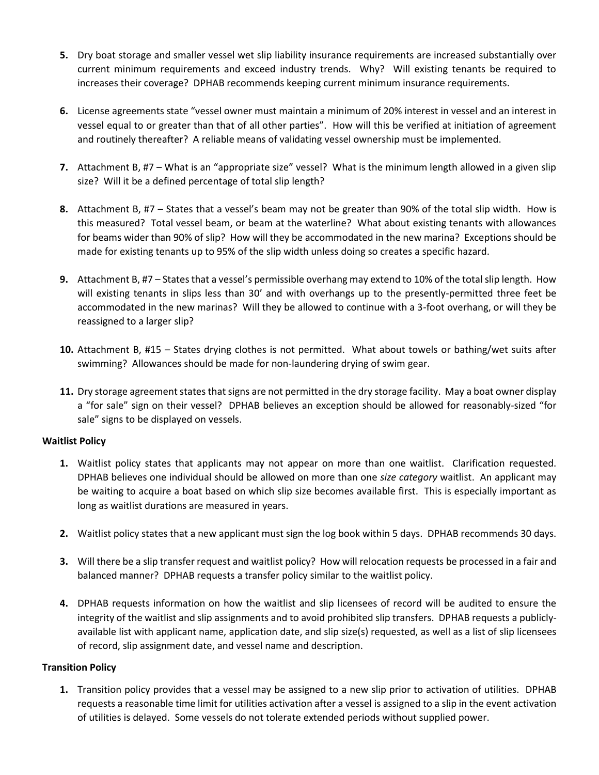- **5.** Dry boat storage and smaller vessel wet slip liability insurance requirements are increased substantially over current minimum requirements and exceed industry trends. Why? Will existing tenants be required to increases their coverage? DPHAB recommends keeping current minimum insurance requirements.
- **6.** License agreements state "vessel owner must maintain a minimum of 20% interest in vessel and an interest in vessel equal to or greater than that of all other parties". How will this be verified at initiation of agreement and routinely thereafter? A reliable means of validating vessel ownership must be implemented.
- **7.** Attachment B, #7 What is an "appropriate size" vessel? What is the minimum length allowed in a given slip size? Will it be a defined percentage of total slip length?
- **8.** Attachment B, #7 States that a vessel's beam may not be greater than 90% of the total slip width. How is this measured? Total vessel beam, or beam at the waterline? What about existing tenants with allowances for beams wider than 90% of slip? How will they be accommodated in the new marina? Exceptions should be made for existing tenants up to 95% of the slip width unless doing so creates a specific hazard.
- **9.** Attachment B, #7 States that a vessel's permissible overhang may extend to 10% of the total slip length. How will existing tenants in slips less than 30' and with overhangs up to the presently-permitted three feet be accommodated in the new marinas? Will they be allowed to continue with a 3-foot overhang, or will they be reassigned to a larger slip?
- **10.** Attachment B, #15 States drying clothes is not permitted. What about towels or bathing/wet suits after swimming? Allowances should be made for non-laundering drying of swim gear.
- **11.** Dry storage agreement states that signs are not permitted in the dry storage facility. May a boat owner display a "for sale" sign on their vessel? DPHAB believes an exception should be allowed for reasonably-sized "for sale" signs to be displayed on vessels.

## **Waitlist Policy**

- **1.** Waitlist policy states that applicants may not appear on more than one waitlist. Clarification requested. DPHAB believes one individual should be allowed on more than one *size category* waitlist. An applicant may be waiting to acquire a boat based on which slip size becomes available first. This is especially important as long as waitlist durations are measured in years.
- **2.** Waitlist policy states that a new applicant must sign the log book within 5 days. DPHAB recommends 30 days.
- **3.** Will there be a slip transfer request and waitlist policy? How will relocation requests be processed in a fair and balanced manner? DPHAB requests a transfer policy similar to the waitlist policy.
- **4.** DPHAB requests information on how the waitlist and slip licensees of record will be audited to ensure the integrity of the waitlist and slip assignments and to avoid prohibited slip transfers. DPHAB requests a publiclyavailable list with applicant name, application date, and slip size(s) requested, as well as a list of slip licensees of record, slip assignment date, and vessel name and description.

# **Transition Policy**

**1.** Transition policy provides that a vessel may be assigned to a new slip prior to activation of utilities. DPHAB requests a reasonable time limit for utilities activation after a vessel is assigned to a slip in the event activation of utilities is delayed. Some vessels do not tolerate extended periods without supplied power.